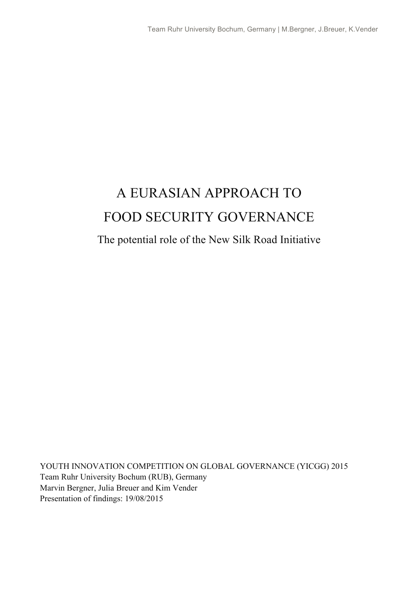# A EURASIAN APPROACH TO FOOD SECURITY GOVERNANCE

### The potential role of the New Silk Road Initiative

YOUTH INNOVATION COMPETITION ON GLOBAL GOVERNANCE (YICGG) 2015 Team Ruhr University Bochum (RUB), Germany Marvin Bergner, Julia Breuer and Kim Vender Presentation of findings: 19/08/2015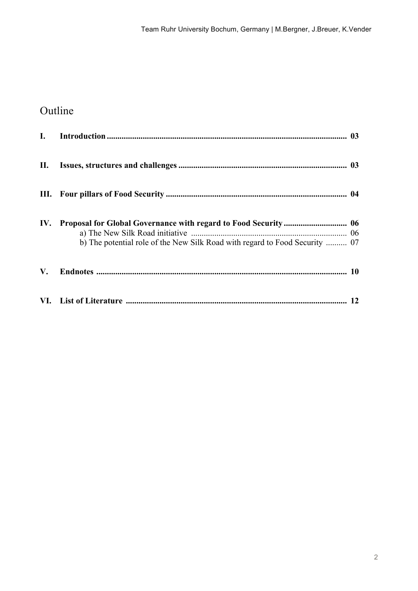## Outline

| $\mathbf{I}$ . |                                                                             |  |
|----------------|-----------------------------------------------------------------------------|--|
| П.             |                                                                             |  |
|                |                                                                             |  |
| IV.            | b) The potential role of the New Silk Road with regard to Food Security  07 |  |
| V.             |                                                                             |  |
|                |                                                                             |  |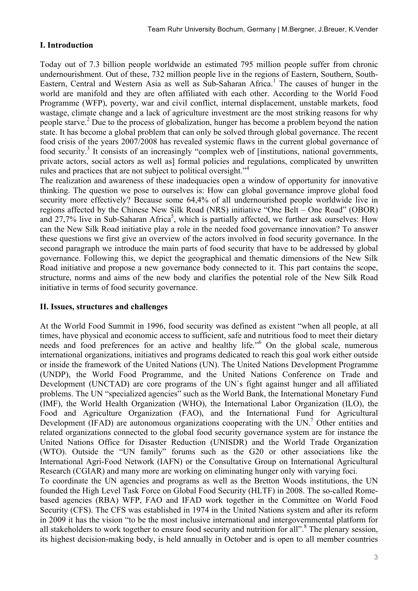#### **I. Introduction**

Today out of 7.3 billion people worldwide an estimated 795 million people suffer from chronic undernourishment. Out of these, 732 million people live in the regions of Eastern, Southern, South-Eastern, Central and Western Asia as well as Sub-Saharan Africa.<sup>1</sup> The causes of hunger in the world are manifold and they are often affiliated with each other. According to the World Food Programme (WFP), poverty, war and civil conflict, internal displacement, unstable markets, food wastage, climate change and a lack of agriculture investment are the most striking reasons for why people starve.2 Due to the process of globalization, hunger has become a problem beyond the nation state. It has become a global problem that can only be solved through global governance. The recent food crisis of the years 2007/2008 has revealed systemic flaws in the current global governance of food security.3 It consists of an increasingly "complex web of [institutions, national governments, private actors, social actors as well as] formal policies and regulations, complicated by unwritten rules and practices that are not subject to political oversight."<sup>4</sup>

The realization and awareness of these inadequacies open a window of opportunity for innovative thinking. The question we pose to ourselves is: How can global governance improve global food security more effectively? Because some 64,4% of all undernourished people worldwide live in regions affected by the Chinese New Silk Road (NRS) initiative "One Belt – One Road" (OBOR) and 27,7% live in Sub-Saharan Africa<sup>5</sup>, which is partially affected, we further ask ourselves: How can the New Silk Road initiative play a role in the needed food governance innovation? To answer these questions we first give an overview of the actors involved in food security governance. In the second paragraph we introduce the main parts of food security that have to be addressed by global governance. Following this, we depict the geographical and thematic dimensions of the New Silk Road initiative and propose a new governance body connected to it. This part contains the scope, structure, norms and aims of the new body and clarifies the potential role of the New Silk Road initiative in terms of food security governance.

#### **II. Issues, structures and challenges**

At the World Food Summit in 1996, food security was defined as existent "when all people, at all times, have physical and economic access to sufficient, safe and nutritious food to meet their dietary needs and food preferences for an active and healthy life.<sup>"6</sup> On the global scale, numerous international organizations, initiatives and programs dedicated to reach this goal work either outside or inside the framework of the United Nations (UN). The United Nations Development Programme (UNDP), the World Food Programme, and the United Nations Conference on Trade and Development (UNCTAD) are core programs of the UN`s fight against hunger and all affiliated problems. The UN "specialized agencies" such as the World Bank, the International Monetary Fund (IMF), the World Health Organization (WHO), the International Labor Organization (ILO), the Food and Agriculture Organization (FAO), and the International Fund for Agricultural Development (IFAD) are autonomous organizations cooperating with the UN.<sup>7</sup> Other entities and related organizations connected to the global food security governance system are for instance the United Nations Office for Disaster Reduction (UNISDR) and the World Trade Organization (WTO). Outside the "UN family" forums such as the G20 or other associations like the International Agri-Food Network (IAFN) or the Consultative Group on International Agricultural Research (CGIAR) and many more are working on eliminating hunger only with varying foci.

To coordinate the UN agencies and programs as well as the Bretton Woods institutions, the UN founded the High Level Task Force on Global Food Security (HLTF) in 2008. The so-called Romebased agencies (RBA) WFP, FAO and IFAD work together in the Committee on World Food Security (CFS). The CFS was established in 1974 in the United Nations system and after its reform in 2009 it has the vision "to be the most inclusive international and intergovernmental platform for all stakeholders to work together to ensure food security and nutrition for all".<sup>8</sup> The plenary session, its highest decision-making body, is held annually in October and is open to all member countries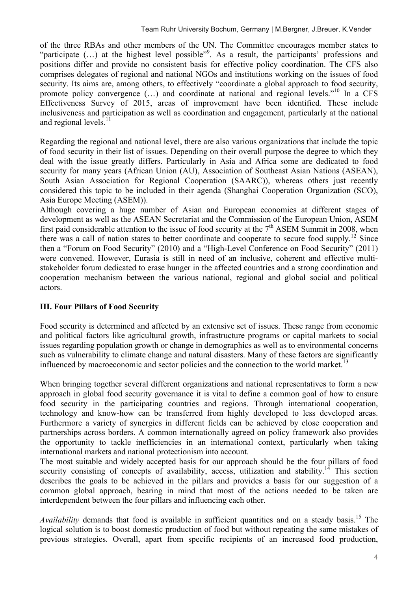of the three RBAs and other members of the UN. The Committee encourages member states to "participate (...) at the highest level possible"<sup>9</sup>. As a result, the participants' professions and positions differ and provide no consistent basis for effective policy coordination. The CFS also comprises delegates of regional and national NGOs and institutions working on the issues of food security. Its aims are, among others, to effectively "coordinate a global approach to food security, promote policy convergence  $(\ldots)$  and coordinate at national and regional levels."<sup>10</sup> In a CFS Effectiveness Survey of 2015, areas of improvement have been identified. These include inclusiveness and participation as well as coordination and engagement, particularly at the national and regional levels.<sup>11</sup>

Regarding the regional and national level, there are also various organizations that include the topic of food security in their list of issues. Depending on their overall purpose the degree to which they deal with the issue greatly differs. Particularly in Asia and Africa some are dedicated to food security for many years (African Union (AU), Association of Southeast Asian Nations (ASEAN), South Asian Association for Regional Cooperation (SAARC)), whereas others just recently considered this topic to be included in their agenda (Shanghai Cooperation Organization (SCO), Asia Europe Meeting (ASEM)).

Although covering a huge number of Asian and European economies at different stages of development as well as the ASEAN Secretariat and the Commission of the European Union, ASEM first paid considerable attention to the issue of food security at the  $7<sup>th</sup>$  ASEM Summit in 2008, when there was a call of nation states to better coordinate and cooperate to secure food supply.<sup>12</sup> Since then a "Forum on Food Security" (2010) and a "High-Level Conference on Food Security" (2011) were convened. However, Eurasia is still in need of an inclusive, coherent and effective multistakeholder forum dedicated to erase hunger in the affected countries and a strong coordination and cooperation mechanism between the various national, regional and global social and political actors.

#### **III. Four Pillars of Food Security**

Food security is determined and affected by an extensive set of issues. These range from economic and political factors like agricultural growth, infrastructure programs or capital markets to social issues regarding population growth or change in demographics as well as to environmental concerns such as vulnerability to climate change and natural disasters. Many of these factors are significantly influenced by macroeconomic and sector policies and the connection to the world market.<sup>13</sup>

When bringing together several different organizations and national representatives to form a new approach in global food security governance it is vital to define a common goal of how to ensure food security in the participating countries and regions. Through international cooperation, technology and know-how can be transferred from highly developed to less developed areas. Furthermore a variety of synergies in different fields can be achieved by close cooperation and partnerships across borders. A common internationally agreed on policy framework also provides the opportunity to tackle inefficiencies in an international context, particularly when taking international markets and national protectionism into account.

The most suitable and widely accepted basis for our approach should be the four pillars of food security consisting of concepts of availability, access, utilization and stability.<sup>14</sup> This section describes the goals to be achieved in the pillars and provides a basis for our suggestion of a common global approach, bearing in mind that most of the actions needed to be taken are interdependent between the four pillars and influencing each other.

Availability demands that food is available in sufficient quantities and on a steady basis.<sup>15</sup> The logical solution is to boost domestic production of food but without repeating the same mistakes of previous strategies. Overall, apart from specific recipients of an increased food production,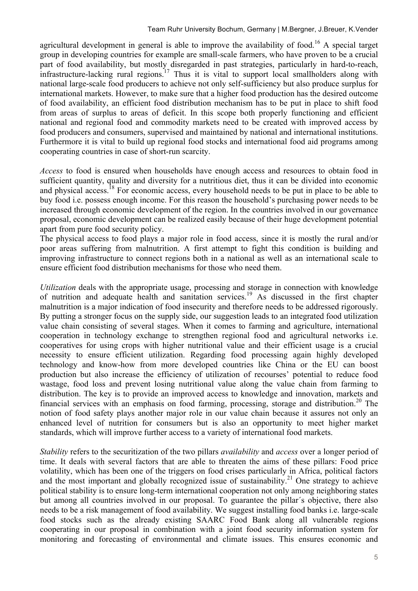agricultural development in general is able to improve the availability of food.<sup>16</sup> A special target group in developing countries for example are small-scale farmers, who have proven to be a crucial part of food availability, but mostly disregarded in past strategies, particularly in hard-to-reach, infrastructure-lacking rural regions.<sup>17</sup> Thus it is vital to support local smallholders along with national large-scale food producers to achieve not only self-sufficiency but also produce surplus for international markets. However, to make sure that a higher food production has the desired outcome of food availability, an efficient food distribution mechanism has to be put in place to shift food from areas of surplus to areas of deficit. In this scope both properly functioning and efficient national and regional food and commodity markets need to be created with improved access by food producers and consumers, supervised and maintained by national and international institutions. Furthermore it is vital to build up regional food stocks and international food aid programs among cooperating countries in case of short-run scarcity.

*Access* to food is ensured when households have enough access and resources to obtain food in sufficient quantity, quality and diversity for a nutritious diet, thus it can be divided into economic and physical access.<sup>18</sup> For economic access, every household needs to be put in place to be able to buy food i.e. possess enough income. For this reason the household's purchasing power needs to be increased through economic development of the region. In the countries involved in our governance proposal, economic development can be realized easily because of their huge development potential apart from pure food security policy.

The physical access to food plays a major role in food access, since it is mostly the rural and/or poor areas suffering from malnutrition. A first attempt to fight this condition is building and improving infrastructure to connect regions both in a national as well as an international scale to ensure efficient food distribution mechanisms for those who need them.

*Utilization* deals with the appropriate usage, processing and storage in connection with knowledge of nutrition and adequate health and sanitation services. <sup>19</sup> As discussed in the first chapter malnutrition is a major indication of food insecurity and therefore needs to be addressed rigorously. By putting a stronger focus on the supply side, our suggestion leads to an integrated food utilization value chain consisting of several stages. When it comes to farming and agriculture, international cooperation in technology exchange to strengthen regional food and agricultural networks i.e. cooperatives for using crops with higher nutritional value and their efficient usage is a crucial necessity to ensure efficient utilization. Regarding food processing again highly developed technology and know-how from more developed countries like China or the EU can boost production but also increase the efficiency of utilization of recourses' potential to reduce food wastage, food loss and prevent losing nutritional value along the value chain from farming to distribution. The key is to provide an improved access to knowledge and innovation, markets and financial services with an emphasis on food farming, processing, storage and distribution. <sup>20</sup> The notion of food safety plays another major role in our value chain because it assures not only an enhanced level of nutrition for consumers but is also an opportunity to meet higher market standards, which will improve further access to a variety of international food markets.

*Stability* refers to the securitization of the two pillars *availability* and *access* over a longer period of time. It deals with several factors that are able to threaten the aims of these pillars: Food price volatility, which has been one of the triggers on food crises particularly in Africa, political factors and the most important and globally recognized issue of sustainability.<sup>21</sup> One strategy to achieve political stability is to ensure long-term international cooperation not only among neighboring states but among all countries involved in our proposal. To guarantee the pillar´s objective, there also needs to be a risk management of food availability. We suggest installing food banks i.e. large-scale food stocks such as the already existing SAARC Food Bank along all vulnerable regions cooperating in our proposal in combination with a joint food security information system for monitoring and forecasting of environmental and climate issues. This ensures economic and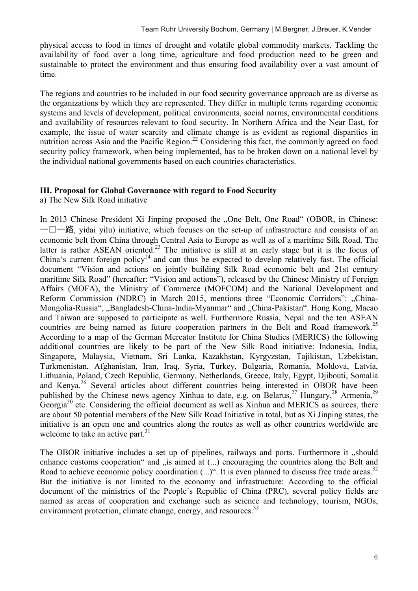physical access to food in times of drought and volatile global commodity markets. Tackling the availability of food over a long time, agriculture and food production need to be green and sustainable to protect the environment and thus ensuring food availability over a vast amount of time.

The regions and countries to be included in our food security governance approach are as diverse as the organizations by which they are represented. They differ in multiple terms regarding economic systems and levels of development, political environments, social norms, environmental conditions and availability of resources relevant to food security. In Northern Africa and the Near East, for example, the issue of water scarcity and climate change is as evident as regional disparities in nutrition across Asia and the Pacific Region.<sup>22</sup> Considering this fact, the commonly agreed on food security policy framework, when being implemented, has to be broken down on a national level by the individual national governments based on each countries characteristics.

#### **III. Proposal for Global Governance with regard to Food Security**

a) The New Silk Road initiative

In 2013 Chinese President Xi Jinping proposed the "One Belt, One Road" (OBOR, in Chinese:  $-\Box$   $-\mathbb{B}$ , vidai yilu) initiative, which focuses on the set-up of infrastructure and consists of an economic belt from China through Central Asia to Europe as well as of a maritime Silk Road. The latter is rather ASEAN oriented.<sup>23</sup> The initiative is still at an early stage but it is the focus of China's current foreign policy24 and can thus be expected to develop relatively fast. The official document "Vision and actions on jointly building Silk Road economic belt and 21st century maritime Silk Road" (hereafter: "Vision and actions"), released by the Chinese Ministry of Foreign Affairs (MOFA), the Ministry of Commerce (MOFCOM) and the National Development and Reform Commission (NDRC) in March 2015, mentions three "Economic Corridors": "China-Mongolia-Russia", "Bangladesh-China-India-Myanmar" and "China-Pakistan". Hong Kong, Macao and Taiwan are supposed to participate as well. Furthermore Russia, Nepal and the ten ASEAN countries are being named as future cooperation partners in the Belt and Road framework.<sup>25</sup> According to a map of the German Mercator Institute for China Studies (MERICS) the following additional countries are likely to be part of the New Silk Road initiative: Indonesia, India, Singapore, Malaysia, Vietnam, Sri Lanka, Kazakhstan, Kyrgyzstan, Tajikistan, Uzbekistan, Turkmenistan, Afghanistan, Iran, Iraq, Syria, Turkey, Bulgaria, Romania, Moldova, Latvia, Lithuania, Poland, Czech Republic, Germany, Netherlands, Greece, Italy, Egypt, Djibouti, Somalia and Kenya. <sup>26</sup> Several articles about different countries being interested in OBOR have been published by the Chinese news agency Xinhua to date, e.g. on Belarus, <sup>27</sup> Hungary, <sup>28</sup> Armenia, <sup>29</sup> Georgia<sup>30</sup> etc. Considering the official document as well as Xinhua and MERICS as sources, there are about 50 potential members of the New Silk Road Initiative in total, but as Xi Jinping states, the initiative is an open one and countries along the routes as well as other countries worldwide are welcome to take an active part. $31$ 

The OBOR initiative includes a set up of pipelines, railways and ports. Furthermore it "should enhance customs cooperation and  $\alpha$  is aimed at  $\alpha$ ...) encouraging the countries along the Belt and Road to achieve economic policy coordination (...)". It is even planned to discuss free trade areas.<sup>32</sup> But the initiative is not limited to the economy and infrastructure: According to the official document of the ministries of the People´s Republic of China (PRC), several policy fields are named as areas of cooperation and exchange such as science and technology, tourism, NGOs, environment protection, climate change, energy, and resources.<sup>33</sup>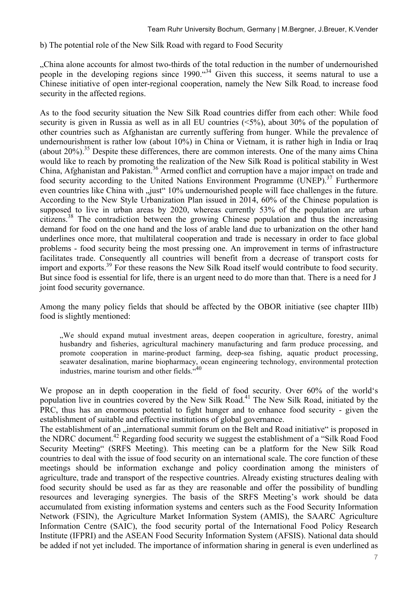b) The potential role of the New Silk Road with regard to Food Security

"China alone accounts for almost two-thirds of the total reduction in the number of undernourished people in the developing regions since  $1990$ .  $434$  Given this success, it seems natural to use a Chinese initiative of open inter-regional cooperation, namely the New Silk Road, to increase food security in the affected regions.

As to the food security situation the New Silk Road countries differ from each other: While food security is given in Russia as well as in all EU countries (<5%), about 30% of the population of other countries such as Afghanistan are currently suffering from hunger. While the prevalence of undernourishment is rather low (about 10%) in China or Vietnam, it is rather high in India or Iraq (about  $20\%$ ).<sup>35</sup> Despite these differences, there are common interests. One of the many aims China would like to reach by promoting the realization of the New Silk Road is political stability in West China, Afghanistan and Pakistan.<sup>36</sup> Armed conflict and corruption have a major impact on trade and food security according to the United Nations Environment Programme (UNEP).<sup>37</sup> Furthermore even countries like China with "just" 10% undernourished people will face challenges in the future. According to the New Style Urbanization Plan issued in 2014, 60% of the Chinese population is supposed to live in urban areas by 2020, whereas currently 53% of the population are urban citizens.<sup>38</sup> The contradiction between the growing Chinese population and thus the increasing demand for food on the one hand and the loss of arable land due to urbanization on the other hand underlines once more, that multilateral cooperation and trade is necessary in order to face global problems - food security being the most pressing one. An improvement in terms of infrastructure facilitates trade. Consequently all countries will benefit from a decrease of transport costs for import and exports.<sup>39</sup> For these reasons the New Silk Road itself would contribute to food security. But since food is essential for life, there is an urgent need to do more than that. There is a need for J joint food security governance.

Among the many policy fields that should be affected by the OBOR initiative (see chapter IIIb) food is slightly mentioned:

"We should expand mutual investment areas, deepen cooperation in agriculture, forestry, animal husbandry and fisheries, agricultural machinery manufacturing and farm produce processing, and promote cooperation in marine-product farming, deep-sea fishing, aquatic product processing, seawater desalination, marine biopharmacy, ocean engineering technology, environmental protection industries, marine tourism and other fields.<sup>440</sup>

We propose an in depth cooperation in the field of food security. Over 60% of the world's population live in countries covered by the New Silk Road.<sup>41</sup> The New Silk Road, initiated by the PRC, thus has an enormous potential to fight hunger and to enhance food security - given the establishment of suitable and effective institutions of global governance.

The establishment of an international summit forum on the Belt and Road initiative is proposed in the NDRC document.<sup>42</sup> Regarding food security we suggest the establishment of a "Silk Road Food" Security Meeting" (SRFS Meeting). This meeting can be a platform for the New Silk Road countries to deal with the issue of food security on an international scale. The core function of these meetings should be information exchange and policy coordination among the ministers of agriculture, trade and transport of the respective countries. Already existing structures dealing with food security should be used as far as they are reasonable and offer the possibility of bundling resources and leveraging synergies. The basis of the SRFS Meeting's work should be data accumulated from existing information systems and centers such as the Food Security Information Network (FSIN), the Agriculture Market Information System (AMIS), the SAARC Agriculture Information Centre (SAIC), the food security portal of the International Food Policy Research Institute (IFPRI) and the ASEAN Food Security Information System (AFSIS). National data should be added if not yet included. The importance of information sharing in general is even underlined as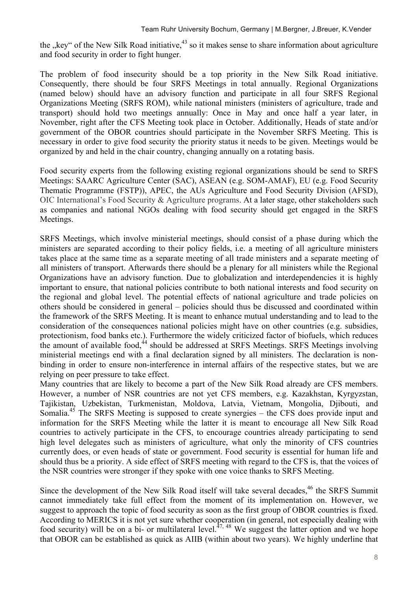the  $\kappa$ key" of the New Silk Road initiative,  $43$  so it makes sense to share information about agriculture and food security in order to fight hunger.

The problem of food insecurity should be a top priority in the New Silk Road initiative. Consequently, there should be four SRFS Meetings in total annually. Regional Organizations (named below) should have an advisory function and participate in all four SRFS Regional Organizations Meeting (SRFS ROM), while national ministers (ministers of agriculture, trade and transport) should hold two meetings annually: Once in May and once half a year later, in November, right after the CFS Meeting took place in October. Additionally, Heads of state and/or government of the OBOR countries should participate in the November SRFS Meeting. This is necessary in order to give food security the priority status it needs to be given. Meetings would be organized by and held in the chair country, changing annually on a rotating basis.

Food security experts from the following existing regional organizations should be send to SRFS Meetings: SAARC Agriculture Center (SAC), ASEAN (e.g. SOM-AMAF), EU (e.g. Food Security Thematic Programme (FSTP)), APEC, the AUs Agriculture and Food Security Division (AFSD), OIC International's Food Security & Agriculture programs. At a later stage, other stakeholders such as companies and national NGOs dealing with food security should get engaged in the SRFS Meetings.

SRFS Meetings, which involve ministerial meetings, should consist of a phase during which the ministers are separated according to their policy fields, i.e. a meeting of all agriculture ministers takes place at the same time as a separate meeting of all trade ministers and a separate meeting of all ministers of transport. Afterwards there should be a plenary for all ministers while the Regional Organizations have an advisory function. Due to globalization and interdependencies it is highly important to ensure, that national policies contribute to both national interests and food security on the regional and global level. The potential effects of national agriculture and trade policies on others should be considered in general – policies should thus be discussed and coordinated within the framework of the SRFS Meeting. It is meant to enhance mutual understanding and to lead to the consideration of the consequences national policies might have on other countries (e.g. subsidies, protectionism, food banks etc.). Furthermore the widely criticized factor of biofuels, which reduces the amount of available food.<sup> $44$ </sup> should be addressed at SRFS Meetings. SRFS Meetings involving ministerial meetings end with a final declaration signed by all ministers. The declaration is nonbinding in order to ensure non-interference in internal affairs of the respective states, but we are relying on peer pressure to take effect.

Many countries that are likely to become a part of the New Silk Road already are CFS members. However, a number of NSR countries are not yet CFS members, e.g. Kazakhstan, Kyrgyzstan, Tajikistan, Uzbekistan, Turkmenistan, Moldova, Latvia, Vietnam, Mongolia, Djibouti, and Somalia.<sup>45</sup> The SRFS Meeting is supposed to create synergies – the CFS does provide input and information for the SRFS Meeting while the latter it is meant to encourage all New Silk Road countries to actively participate in the CFS, to encourage countries already participating to send high level delegates such as ministers of agriculture, what only the minority of CFS countries currently does, or even heads of state or government. Food security is essential for human life and should thus be a priority. A side effect of SRFS meeting with regard to the CFS is, that the voices of the NSR countries were stronger if they spoke with one voice thanks to SRFS Meeting.

Since the development of the New Silk Road itself will take several decades.<sup>46</sup> the SRFS Summit cannot immediately take full effect from the moment of its implementation on. However, we suggest to approach the topic of food security as soon as the first group of OBOR countries is fixed. According to MERICS it is not yet sure whether cooperation (in general, not especially dealing with food security) will be on a bi- or multilateral level.<sup>47, 48</sup> We suggest the latter option and we hope that OBOR can be established as quick as AIIB (within about two years). We highly underline that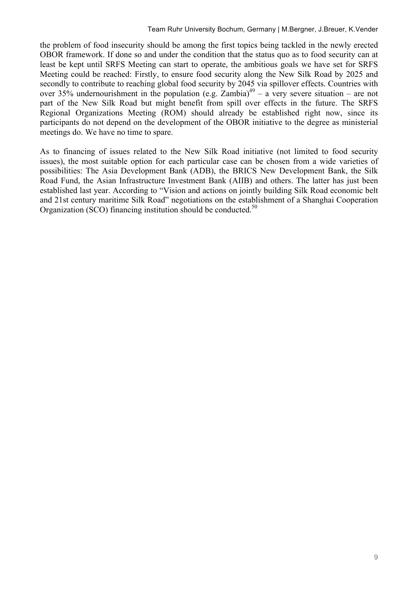the problem of food insecurity should be among the first topics being tackled in the newly erected OBOR framework. If done so and under the condition that the status quo as to food security can at least be kept until SRFS Meeting can start to operate, the ambitious goals we have set for SRFS Meeting could be reached: Firstly, to ensure food security along the New Silk Road by 2025 and secondly to contribute to reaching global food security by 2045 via spillover effects. Countries with over 35% undernourishment in the population (e.g. Zambia)<sup>49</sup> – a very severe situation – are not part of the New Silk Road but might benefit from spill over effects in the future. The SRFS Regional Organizations Meeting (ROM) should already be established right now, since its participants do not depend on the development of the OBOR initiative to the degree as ministerial meetings do. We have no time to spare.

As to financing of issues related to the New Silk Road initiative (not limited to food security issues), the most suitable option for each particular case can be chosen from a wide varieties of possibilities: The Asia Development Bank (ADB), the BRICS New Development Bank, the Silk Road Fund, the Asian Infrastructure Investment Bank (AIIB) and others. The latter has just been established last year. According to "Vision and actions on jointly building Silk Road economic belt and 21st century maritime Silk Road" negotiations on the establishment of a Shanghai Cooperation Organization (SCO) financing institution should be conducted.<sup>50</sup>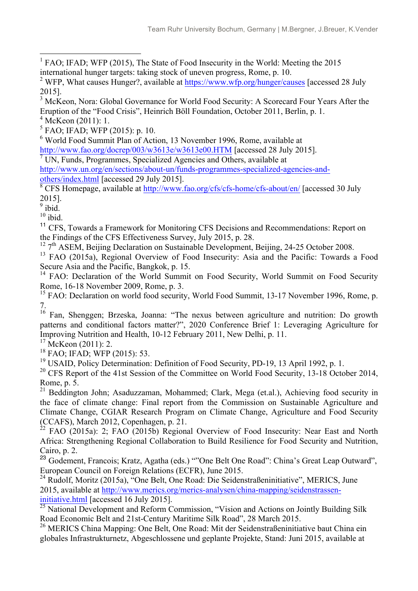1 FAO; IFAD; WFP (2015), The State of Food Insecurity in the World: Meeting the 2015 international hunger targets: taking stock of uneven progress, Rome, p. 10.

<sup>8</sup> CFS Homepage, available at http://www.fao.org/cfs/cfs-home/cfs-about/en/ [accessed 30 July 2015].

 $9$  ibid.

 $10$  ibid.

<sup>11</sup> CFS. Towards a Framework for Monitoring CFS Decisions and Recommendations: Report on the Findings of the CFS Effectiveness Survey, July 2015, p. 28.

 $12$  7<sup>th</sup> ASEM, Beijing Declaration on Sustainable Development, Beijing, 24-25 October 2008.

<sup>13</sup> FAO (2015a), Regional Overview of Food Insecurity: Asia and the Pacific: Towards a Food Secure Asia and the Pacific, Bangkok, p. 15.

<sup>14</sup> FAO: Declaration of the World Summit on Food Security, World Summit on Food Security Rome, 16-18 November 2009, Rome, p. 3.

<sup>15</sup> FAO: Declaration on world food security, World Food Summit, 13-17 November 1996, Rome, p. 7.

<sup>16</sup> Fan, Shenggen; Brzeska, Joanna: "The nexus between agriculture and nutrition: Do growth patterns and conditional factors matter?", 2020 Conference Brief 1: Leveraging Agriculture for Improving Nutrition and Health, 10-12 February 2011, New Delhi, p. 11.

 $17$  McKeon (2011): 2.

<sup>18</sup> FAO; IFAD; WFP (2015): 53.

<sup>19</sup> USAID, Policy Determination: Definition of Food Security, PD-19, 13 April 1992, p. 1.

 $20$  CFS Report of the 41st Session of the Committee on World Food Security, 13-18 October 2014, Rome, p. 5.

<sup>21</sup> Beddington John; Asaduzzaman, Mohammed; Clark, Mega (et.al.), Achieving food security in the face of climate change: Final report from the Commission on Sustainable Agriculture and Climate Change, CGIAR Research Program on Climate Change, Agriculture and Food Security (CCAFS), March 2012, Copenhagen, p. 21.

<sup>22</sup> FAO (2015a): 2; FAO (2015b) Regional Overview of Food Insecurity: Near East and North Africa: Strengthening Regional Collaboration to Build Resilience for Food Security and Nutrition, Cairo, p. 2.

<sup>23</sup> Godement, Francois; Kratz, Agatha (eds.) ""One Belt One Road": China's Great Leap Outward", European Council on Foreign Relations (ECFR), June 2015.

 $^{24}$  Rudolf, Moritz (2015a), "One Belt, One Road: Die Seidenstraßeninitiative", MERICS, June 2015, available at http://www.merics.org/merics-analysen/china-mapping/seidenstrasseninitiative.html [accessed 16 July 2015].<br><sup>25</sup> National Development and Reform Commission, "Vision and Actions on Jointly Building Silk

Road Economic Belt and 21st-Century Maritime Silk Road", 28 March 2015.

<sup>26</sup> MERICS China Mapping: One Belt, One Road: Mit der Seidenstraßeninitiative baut China ein globales Infrastrukturnetz, Abgeschlossene und geplante Projekte, Stand: Juni 2015, available at

<sup>&</sup>lt;sup>2</sup> WFP, What causes Hunger?, available at https://www.wfp.org/hunger/causes [accessed 28 July] 2015].

<sup>&</sup>lt;sup>3</sup> McKeon, Nora: Global Governance for World Food Security: A Scorecard Four Years After the Eruption of the "Food Crisis", Heinrich Böll Foundation, October 2011, Berlin, p. 1.

 $4$  McKeon (2011): 1.

 $5$  FAO; IFAD; WFP (2015): p. 10.

<sup>6</sup> World Food Summit Plan of Action, 13 November 1996, Rome, available at http://www.fao.org/docrep/003/w3613e/w3613e00.HTM [accessed 28 July 2015].

 $\sqrt{7}$  UN, Funds, Programmes, Specialized Agencies and Others, available at http://www.un.org/en/sections/about-un/funds-programmes-specialized-agencies-andothers/index.html [accessed 29 July 2015].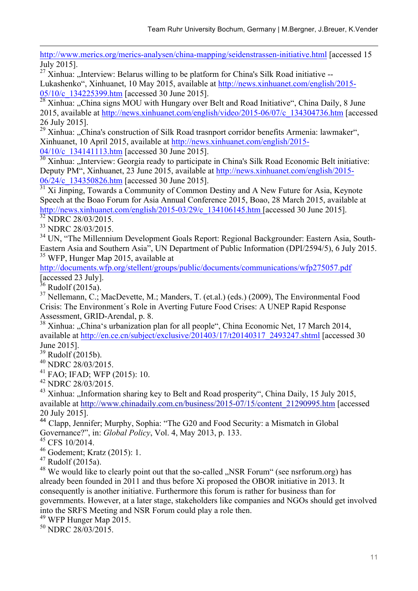http://www.merics.org/merics-analysen/china-mapping/seidenstrassen-initiative.html [accessed 15 July 2015].

 $^{27}$  Xinhua: "Interview: Belarus willing to be platform for China's Silk Road initiative --Lukashenko", Xinhuanet, 10 May 2015, available at http://news.xinhuanet.com/english/2015- 05/10/c\_134225399.htm [accessed 30 June 2015].

 $\frac{28 \text{ Xinhua:}}{28 \text{ Xinhua:}}$  (China signs MOU with Hungary over Belt and Road Initiative", China Daily, 8 June 2015, available at http://news.xinhuanet.com/english/video/2015-06/07/c\_134304736.htm [accessed 26 July 2015].

 $29 \text{ Xinhua: }$ , China's construction of Silk Road trasnport corridor benefits Armenia: lawmaker", Xinhuanet, 10 April 2015, available at http://news.xinhuanet.com/english/2015- 04/10/c\_134141113.htm [accessed 30 June 2015].

 $\frac{30}{30}$  Xinhua: "Interview: Georgia ready to participate in China's Silk Road Economic Belt initiative: Deputy PM", Xinhuanet, 23 June 2015, available at http://news.xinhuanet.com/english/2015-  $\frac{06}{24}$ /c\_134350826.htm [accessed 30 June 2015].<br><sup>31</sup> Xi Jinping, Towards a Community of Common Destiny and A New Future for Asia, Keynote

Speech at the Boao Forum for Asia Annual Conference 2015, Boao, 28 March 2015, available at http://news.xinhuanet.com/english/2015-03/29/c\_134106145.htm [accessed 30 June 2015].<br><sup>32</sup> NDRC 28/03/2015.

1

<sup>32</sup> NDRC 28/03/2015. <sup>33</sup> NDRC 28/03/2015.

<sup>34</sup> UN, "The Millennium Development Goals Report: Regional Backgrounder: Eastern Asia, South-Eastern Asia and Southern Asia", UN Department of Public Information (DPI/2594/5), 6 July 2015. <sup>35</sup> WFP, Hunger Map 2015, available at

http://documents.wfp.org/stellent/groups/public/documents/communications/wfp275057.pdf [accessed 23 July].

 $36$  Rudolf (2015a).

 $37$  Nellemann, C.; MacDevette, M.; Manders, T. (et.al.) (eds.) (2009), The Environmental Food Crisis: The Environment´s Role in Averting Future Food Crises: A UNEP Rapid Response Assessment, GRID-Arendal, p. 8.

 $38$  Xinhua:  $\alpha$ China's urbanization plan for all people", China Economic Net, 17 March 2014, available at http://en.ce.cn/subject/exclusive/201403/17/t20140317\_2493247.shtml [accessed 30] June 2015].<br><sup>39</sup> Rudolf (2015b).<br><sup>40</sup> NDRC 28/03/2015.<br><sup>41</sup> FAO; IFAD; WFP (2015): 10.

 $^{42}$  NDRC 28/03/2015.

 $^{43}$  Xinhua: ...Information sharing key to Belt and Road prosperity", China Daily, 15 July 2015, available at http://www.chinadaily.com.cn/business/2015-07/15/content\_21290995.htm [accessed 20 July 2015].

<sup>44</sup> Clapp, Jennifer; Murphy, Sophia: "The G20 and Food Security: a Mismatch in Global Governance?", in: *Global Policy*, Vol. 4, May 2013, p. 133.

<sup>45</sup> CFS 10/2014.

<sup>46</sup> Godement; Kratz (2015): 1.

 $47$  Rudolf (2015a).

 $48$  We would like to clearly point out that the so-called "NSR Forum" (see nsrforum.org) has already been founded in 2011 and thus before Xi proposed the OBOR initiative in 2013. It consequently is another initiative. Furthermore this forum is rather for business than for governments. However, at a later stage, stakeholders like companies and NGOs should get involved into the SRFS Meeting and NSR Forum could play a role then.

<sup>49</sup> WFP Hunger Map 2015.

 $50$  NDRC 28/03/2015.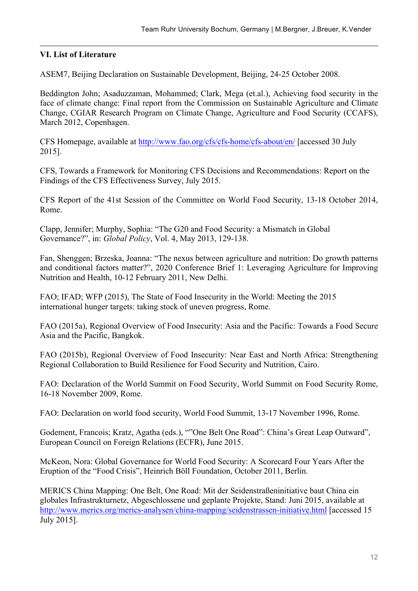#### **VI. List of Literature**

1

ASEM7, Beijing Declaration on Sustainable Development, Beijing, 24-25 October 2008.

Beddington John; Asaduzzaman, Mohammed; Clark, Mega (et.al.), Achieving food security in the face of climate change: Final report from the Commission on Sustainable Agriculture and Climate Change, CGIAR Research Program on Climate Change, Agriculture and Food Security (CCAFS), March 2012, Copenhagen.

CFS Homepage, available at http://www.fao.org/cfs/cfs-home/cfs-about/en/ [accessed 30 July 2015].

CFS, Towards a Framework for Monitoring CFS Decisions and Recommendations: Report on the Findings of the CFS Effectiveness Survey, July 2015.

CFS Report of the 41st Session of the Committee on World Food Security, 13-18 October 2014, Rome.

Clapp, Jennifer; Murphy, Sophia: "The G20 and Food Security: a Mismatch in Global Governance?", in: *Global Policy*, Vol. 4, May 2013, 129-138.

Fan, Shenggen; Brzeska, Joanna: "The nexus between agriculture and nutrition: Do growth patterns and conditional factors matter?", 2020 Conference Brief 1: Leveraging Agriculture for Improving Nutrition and Health, 10-12 February 2011, New Delhi.

FAO; IFAD; WFP (2015), The State of Food Insecurity in the World: Meeting the 2015 international hunger targets: taking stock of uneven progress, Rome.

FAO (2015a), Regional Overview of Food Insecurity: Asia and the Pacific: Towards a Food Secure Asia and the Pacific, Bangkok.

FAO (2015b), Regional Overview of Food Insecurity: Near East and North Africa: Strengthening Regional Collaboration to Build Resilience for Food Security and Nutrition, Cairo.

FAO: Declaration of the World Summit on Food Security, World Summit on Food Security Rome, 16-18 November 2009, Rome.

FAO: Declaration on world food security, World Food Summit, 13-17 November 1996, Rome.

Godement, Francois; Kratz, Agatha (eds.), ""One Belt One Road": China's Great Leap Outward", European Council on Foreign Relations (ECFR), June 2015.

McKeon, Nora: Global Governance for World Food Security: A Scorecard Four Years After the Eruption of the "Food Crisis", Heinrich Böll Foundation, October 2011, Berlin.

MERICS China Mapping: One Belt, One Road: Mit der Seidenstraßeninitiative baut China ein globales Infrastrukturnetz, Abgeschlossene und geplante Projekte, Stand: Juni 2015, available at http://www.merics.org/merics-analysen/china-mapping/seidenstrassen-initiative.html [accessed 15 July 2015].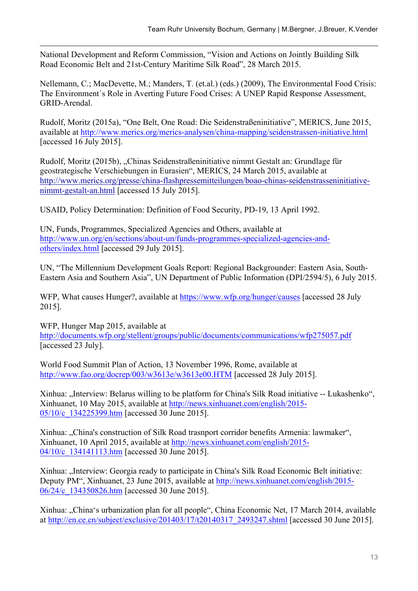1 National Development and Reform Commission, "Vision and Actions on Jointly Building Silk Road Economic Belt and 21st-Century Maritime Silk Road", 28 March 2015.

Nellemann, C.; MacDevette, M.; Manders, T. (et.al.) (eds.) (2009), The Environmental Food Crisis: The Environment´s Role in Averting Future Food Crises: A UNEP Rapid Response Assessment, GRID-Arendal.

Rudolf, Moritz (2015a), "One Belt, One Road: Die Seidenstraßeninitiative", MERICS, June 2015, available at http://www.merics.org/merics-analysen/china-mapping/seidenstrassen-initiative.html [accessed 16 July 2015].

Rudolf, Moritz (2015b), "Chinas Seidenstraßeninitiative nimmt Gestalt an: Grundlage für geostrategische Verschiebungen in Eurasien", MERICS, 24 March 2015, available at http://www.merics.org/presse/china-flashpressemitteilungen/boao-chinas-seidenstrasseninitiativenimmt-gestalt-an.html [accessed 15 July 2015].

USAID, Policy Determination: Definition of Food Security, PD-19, 13 April 1992.

UN, Funds, Programmes, Specialized Agencies and Others, available at http://www.un.org/en/sections/about-un/funds-programmes-specialized-agencies-andothers/index.html [accessed 29 July 2015].

UN, "The Millennium Development Goals Report: Regional Backgrounder: Eastern Asia, South-Eastern Asia and Southern Asia", UN Department of Public Information (DPI/2594/5), 6 July 2015.

WFP, What causes Hunger?, available at https://www.wfp.org/hunger/causes [accessed 28 July 2015].

WFP, Hunger Map 2015, available at http://documents.wfp.org/stellent/groups/public/documents/communications/wfp275057.pdf [accessed 23 July].

World Food Summit Plan of Action, 13 November 1996, Rome, available at http://www.fao.org/docrep/003/w3613e/w3613e00.HTM [accessed 28 July 2015].

Xinhua: ..Interview: Belarus willing to be platform for China's Silk Road initiative -- Lukashenko". Xinhuanet, 10 May 2015, available at http://news.xinhuanet.com/english/2015- 05/10/c\_134225399.htm [accessed 30 June 2015].

Xinhua: "China's construction of Silk Road trasnport corridor benefits Armenia: lawmaker", Xinhuanet, 10 April 2015, available at http://news.xinhuanet.com/english/2015- 04/10/c 134141113.htm [accessed 30 June 2015].

Xinhua: "Interview: Georgia ready to participate in China's Silk Road Economic Belt initiative: Deputy PM", Xinhuanet, 23 June 2015, available at http://news.xinhuanet.com/english/2015- 06/24/c\_134350826.htm [accessed 30 June 2015].

Xinhua: "China's urbanization plan for all people", China Economic Net, 17 March 2014, available at http://en.ce.cn/subject/exclusive/201403/17/t20140317\_2493247.shtml [accessed 30 June 2015].